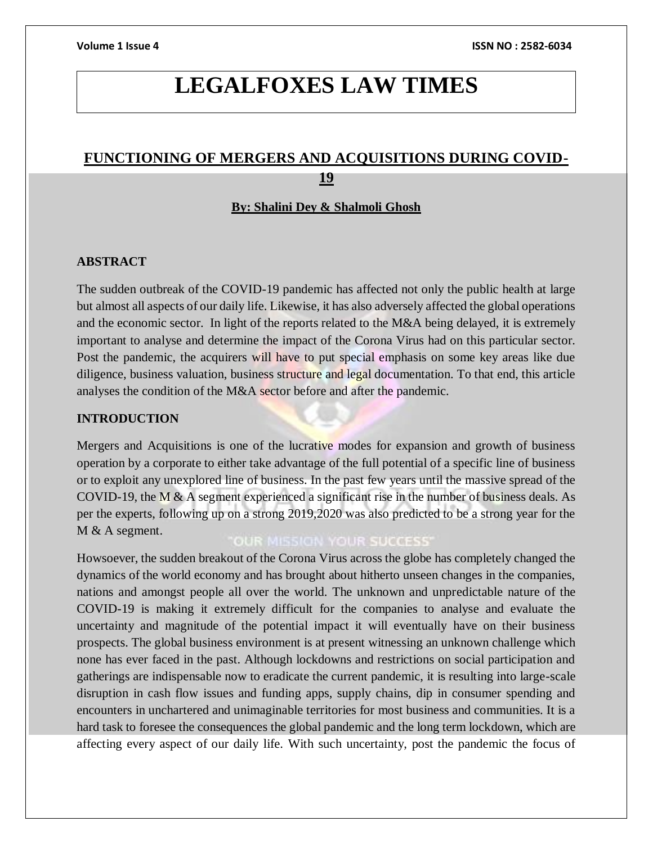# **LEGALFOXES LAW TIMES**

# **FUNCTIONING OF MERGERS AND ACQUISITIONS DURING COVID-19**

### **By: Shalini Dey & Shalmoli Ghosh**

### **ABSTRACT**

The sudden outbreak of the COVID-19 pandemic has affected not only the public health at large but almost all aspects of our daily life. Likewise, it has also adversely affected the global operations and the economic sector. In light of the reports related to the M&A being delayed, it is extremely important to analyse and determine the impact of the Corona Virus had on this particular sector. Post the pandemic, the acquirers will have to put special emphasis on some key areas like due diligence, business valuation, business structure and legal documentation. To that end, this article analyses the condition of the M&A sector before and after the pandemic.

# **INTRODUCTION**

Mergers and Acquisitions is one of the lucrative modes for expansion and growth of business operation by a corporate to either take advantage of the full potential of a specific line of business or to exploit any unexplored line of business. In the past few years until the massive spread of the COVID-19, the M & A segment experienced a significant rise in the number of business deals. As per the experts, following up on a strong 2019,2020 was also predicted to be a strong year for the M & A segment.

# **OUR MISSION YOUR SUCCESS'**

Howsoever, the sudden breakout of the Corona Virus across the globe has completely changed the dynamics of the world economy and has brought about hitherto unseen changes in the companies, nations and amongst people all over the world. The unknown and unpredictable nature of the COVID-19 is making it extremely difficult for the companies to analyse and evaluate the uncertainty and magnitude of the potential impact it will eventually have on their business prospects. The global business environment is at present witnessing an unknown challenge which none has ever faced in the past. Although lockdowns and restrictions on social participation and gatherings are indispensable now to eradicate the current pandemic, it is resulting into large-scale disruption in cash flow issues and funding apps, supply chains, dip in consumer spending and encounters in unchartered and unimaginable territories for most business and communities. It is a hard task to foresee the consequences the global pandemic and the long term lockdown, which are affecting every aspect of our daily life. With such uncertainty, post the pandemic the focus of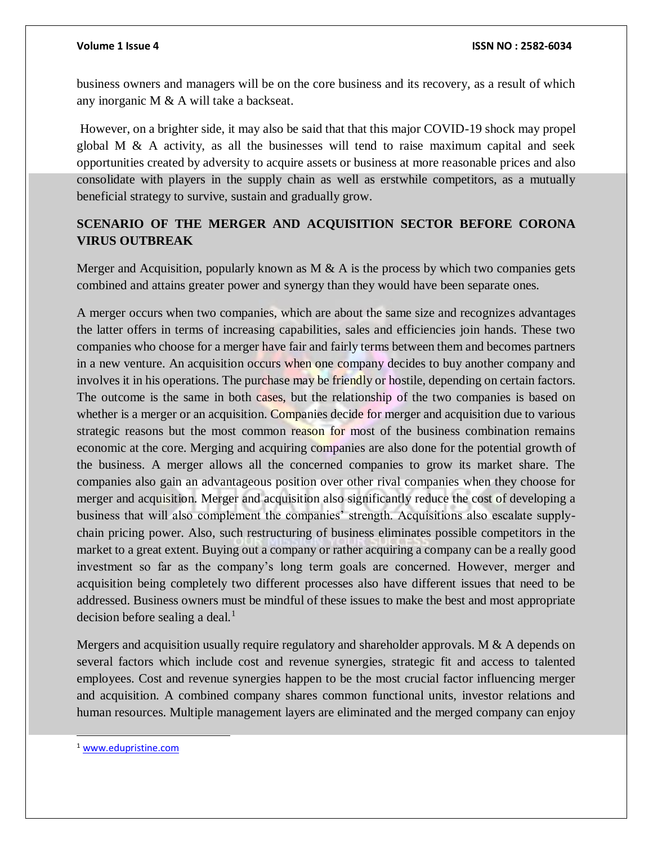business owners and managers will be on the core business and its recovery, as a result of which any inorganic M & A will take a backseat.

However, on a brighter side, it may also be said that that this major COVID-19 shock may propel global M  $\&$  A activity, as all the businesses will tend to raise maximum capital and seek opportunities created by adversity to acquire assets or business at more reasonable prices and also consolidate with players in the supply chain as well as erstwhile competitors, as a mutually beneficial strategy to survive, sustain and gradually grow.

# **SCENARIO OF THE MERGER AND ACQUISITION SECTOR BEFORE CORONA VIRUS OUTBREAK**

Merger and Acquisition, popularly known as  $M \& A$  is the process by which two companies gets combined and attains greater power and synergy than they would have been separate ones.

A merger occurs when two companies, which are about the same size and recognizes advantages the latter offers in terms of increasing capabilities, sales and efficiencies join hands. These two companies who choose for a merger have fair and fairly terms between them and becomes partners in a new venture. An acquisition occurs when one company decides to buy another company and involves it in his operations. The purchase may be friendly or hostile, depending on certain factors. The outcome is the same in both cases, but the relationship of the two companies is based on whether is a merger or an acquisition. Companies decide for merger and acquisition due to various strategic reasons but the most common reason for most of the business combination remains economic at the core. Merging and acquiring companies are also done for the potential growth of the business. A merger allows all the concerned companies to grow its market share. The companies also gain an advantageous position over other rival companies when they choose for merger and acquisition. Merger and acquisition also significantly reduce the cost of developing a business that will also complement the companies' strength. Acquisitions also escalate supplychain pricing power. Also, such restructuring of business eliminates possible competitors in the market to a great extent. Buying out a company or rather acquiring a company can be a really good investment so far as the company's long term goals are concerned. However, merger and acquisition being completely two different processes also have different issues that need to be addressed. Business owners must be mindful of these issues to make the best and most appropriate decision before sealing a deal.<sup>1</sup>

Mergers and acquisition usually require regulatory and shareholder approvals. M & A depends on several factors which include cost and revenue synergies, strategic fit and access to talented employees. Cost and revenue synergies happen to be the most crucial factor influencing merger and acquisition. A combined company shares common functional units, investor relations and human resources. Multiple management layers are eliminated and the merged company can enjoy

l

<sup>1</sup> [www.edupristine.com](http://www.edupristine.com/)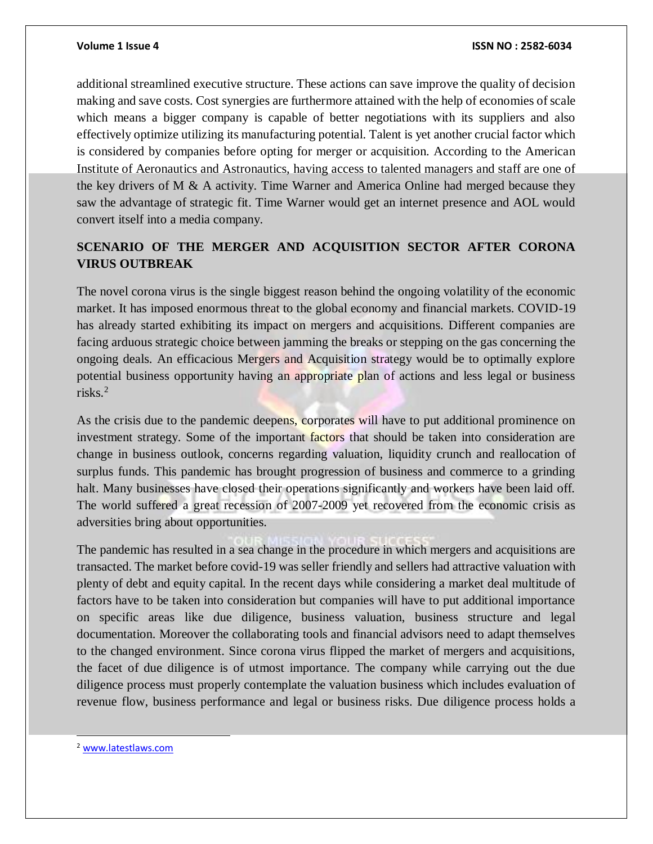additional streamlined executive structure. These actions can save improve the quality of decision making and save costs. Cost synergies are furthermore attained with the help of economies of scale which means a bigger company is capable of better negotiations with its suppliers and also effectively optimize utilizing its manufacturing potential. Talent is yet another crucial factor which is considered by companies before opting for merger or acquisition. According to the American Institute of Aeronautics and Astronautics, having access to talented managers and staff are one of the key drivers of M & A activity. Time Warner and America Online had merged because they saw the advantage of strategic fit. Time Warner would get an internet presence and AOL would convert itself into a media company.

# **SCENARIO OF THE MERGER AND ACQUISITION SECTOR AFTER CORONA VIRUS OUTBREAK**

The novel corona virus is the single biggest reason behind the ongoing volatility of the economic market. It has imposed enormous threat to the global economy and financial markets. COVID-19 has already started exhibiting its impact on mergers and acquisitions. Different companies are facing arduous strategic choice between jamming the breaks or stepping on the gas concerning the ongoing deals. An efficacious Mergers and Acquisition strategy would be to optimally explore potential business opportunity having an appropriate plan of actions and less legal or business risks.<sup>2</sup>

As the crisis due to the pandemic deepens, corporates will have to put additional prominence on investment strategy. Some of the important factors that should be taken into consideration are change in business outlook, concerns regarding valuation, liquidity crunch and reallocation of surplus funds. This pandemic has brought progression of business and commerce to a grinding halt. Many businesses have closed their operations significantly and workers have been laid off. The world suffered a great recession of 2007-2009 yet recovered from the economic crisis as adversities bring about opportunities.

The pandemic has resulted in a sea change in the procedure in which mergers and acquisitions are transacted. The market before covid-19 was seller friendly and sellers had attractive valuation with plenty of debt and equity capital. In the recent days while considering a market deal multitude of factors have to be taken into consideration but companies will have to put additional importance on specific areas like due diligence, business valuation, business structure and legal documentation. Moreover the collaborating tools and financial advisors need to adapt themselves to the changed environment. Since corona virus flipped the market of mergers and acquisitions, the facet of due diligence is of utmost importance. The company while carrying out the due diligence process must properly contemplate the valuation business which includes evaluation of revenue flow, business performance and legal or business risks. Due diligence process holds a

<sup>2</sup> [www.latestlaws.com](http://www.latestlaws.com/)

l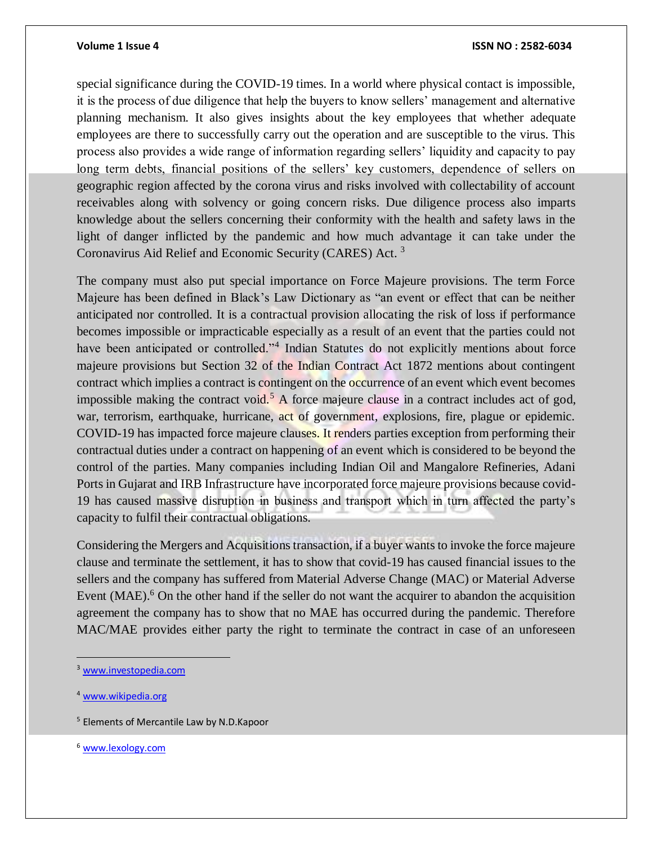#### **Volume 1 Issue 4 ISSN NO : 2582-6034**

special significance during the COVID-19 times. In a world where physical contact is impossible, it is the process of due diligence that help the buyers to know sellers' management and alternative planning mechanism. It also gives insights about the key employees that whether adequate employees are there to successfully carry out the operation and are susceptible to the virus. This process also provides a wide range of information regarding sellers' liquidity and capacity to pay long term debts, financial positions of the sellers' key customers, dependence of sellers on geographic region affected by the corona virus and risks involved with collectability of account receivables along with solvency or going concern risks. Due diligence process also imparts knowledge about the sellers concerning their conformity with the health and safety laws in the light of danger inflicted by the pandemic and how much advantage it can take under the Coronavirus Aid Relief and Economic Security (CARES) Act. <sup>3</sup>

The company must also put special importance on Force Majeure provisions. The term Force Majeure has been defined in Black's Law Dictionary as "an event or effect that can be neither anticipated nor controlled. It is a contractual provision allocating the risk of loss if performance becomes impossible or impracticable especially as a result of an event that the parties could not have been anticipated or controlled."<sup>4</sup> Indian Statutes do not explicitly mentions about force majeure provisions but Section 32 of the Indian Contract Act 1872 mentions about contingent contract which implies a contract is contingent on the occurrence of an event which event becomes impossible making the contract void.<sup>5</sup> A force majeure clause in a contract includes act of god, war, terrorism, earthquake, hurricane, act of government, explosions, fire, plague or epidemic. COVID-19 has impacted force majeure clauses. It renders parties exception from performing their contractual duties under a contract on happening of an event which is considered to be beyond the control of the parties. Many companies including Indian Oil and Mangalore Refineries, Adani Ports in Gujarat and IRB Infrastructure have incorporated force majeure provisions because covid-19 has caused massive disruption in business and transport which in turn affected the party's capacity to fulfil their contractual obligations.

Considering the Mergers and Acquisitions transaction, if a buyer wants to invoke the force majeure clause and terminate the settlement, it has to show that covid-19 has caused financial issues to the sellers and the company has suffered from Material Adverse Change (MAC) or Material Adverse Event  $(MAE)$ <sup>6</sup>. On the other hand if the seller do not want the acquirer to abandon the acquisition agreement the company has to show that no MAE has occurred during the pandemic. Therefore MAC/MAE provides either party the right to terminate the contract in case of an unforeseen

 $\overline{a}$ 

<sup>6</sup> [www.lexology.com](http://www.lexology.com/)

<sup>3</sup> [www.investopedia.com](http://www.investopedia.com/)

<sup>4</sup> [www.wikipedia.org](http://www.wikipedia.org/)

<sup>5</sup> Elements of Mercantile Law by N.D.Kapoor